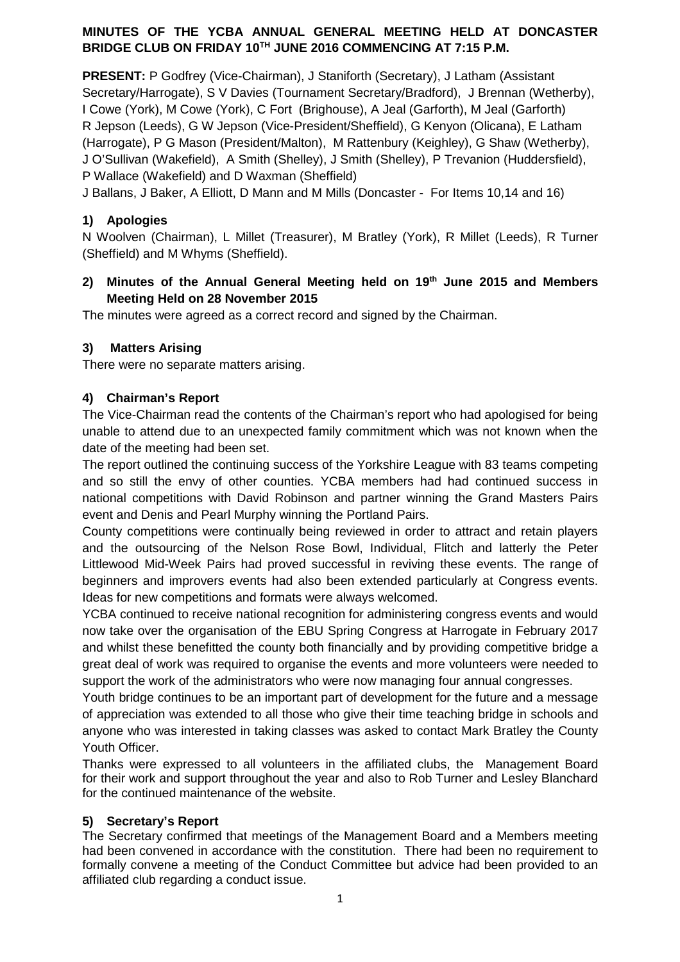## **MINUTES OF THE YCBA ANNUAL GENERAL MEETING HELD AT DONCASTER BRIDGE CLUB ON FRIDAY 10TH JUNE 2016 COMMENCING AT 7:15 P.M.**

**PRESENT:** P Godfrey (Vice-Chairman), J Staniforth (Secretary), J Latham (Assistant Secretary/Harrogate), S V Davies (Tournament Secretary/Bradford), J Brennan (Wetherby), I Cowe (York), M Cowe (York), C Fort (Brighouse), A Jeal (Garforth), M Jeal (Garforth) R Jepson (Leeds), G W Jepson (Vice-President/Sheffield), G Kenyon (Olicana), E Latham (Harrogate), P G Mason (President/Malton), M Rattenbury (Keighley), G Shaw (Wetherby), J O'Sullivan (Wakefield), A Smith (Shelley), J Smith (Shelley), P Trevanion (Huddersfield), P Wallace (Wakefield) and D Waxman (Sheffield)

J Ballans, J Baker, A Elliott, D Mann and M Mills (Doncaster - For Items 10,14 and 16)

## **1) Apologies**

N Woolven (Chairman), L Millet (Treasurer), M Bratley (York), R Millet (Leeds), R Turner (Sheffield) and M Whyms (Sheffield).

## **2) Minutes of the Annual General Meeting held on 19th June 2015 and Members Meeting Held on 28 November 2015**

The minutes were agreed as a correct record and signed by the Chairman.

## **3) Matters Arising**

There were no separate matters arising.

## **4) Chairman's Report**

The Vice-Chairman read the contents of the Chairman's report who had apologised for being unable to attend due to an unexpected family commitment which was not known when the date of the meeting had been set.

The report outlined the continuing success of the Yorkshire League with 83 teams competing and so still the envy of other counties. YCBA members had had continued success in national competitions with David Robinson and partner winning the Grand Masters Pairs event and Denis and Pearl Murphy winning the Portland Pairs.

County competitions were continually being reviewed in order to attract and retain players and the outsourcing of the Nelson Rose Bowl, Individual, Flitch and latterly the Peter Littlewood Mid-Week Pairs had proved successful in reviving these events. The range of beginners and improvers events had also been extended particularly at Congress events. Ideas for new competitions and formats were always welcomed.

YCBA continued to receive national recognition for administering congress events and would now take over the organisation of the EBU Spring Congress at Harrogate in February 2017 and whilst these benefitted the county both financially and by providing competitive bridge a great deal of work was required to organise the events and more volunteers were needed to support the work of the administrators who were now managing four annual congresses.

Youth bridge continues to be an important part of development for the future and a message of appreciation was extended to all those who give their time teaching bridge in schools and anyone who was interested in taking classes was asked to contact Mark Bratley the County Youth Officer.

Thanks were expressed to all volunteers in the affiliated clubs, the Management Board for their work and support throughout the year and also to Rob Turner and Lesley Blanchard for the continued maintenance of the website.

## **5) Secretary's Report**

The Secretary confirmed that meetings of the Management Board and a Members meeting had been convened in accordance with the constitution. There had been no requirement to formally convene a meeting of the Conduct Committee but advice had been provided to an affiliated club regarding a conduct issue.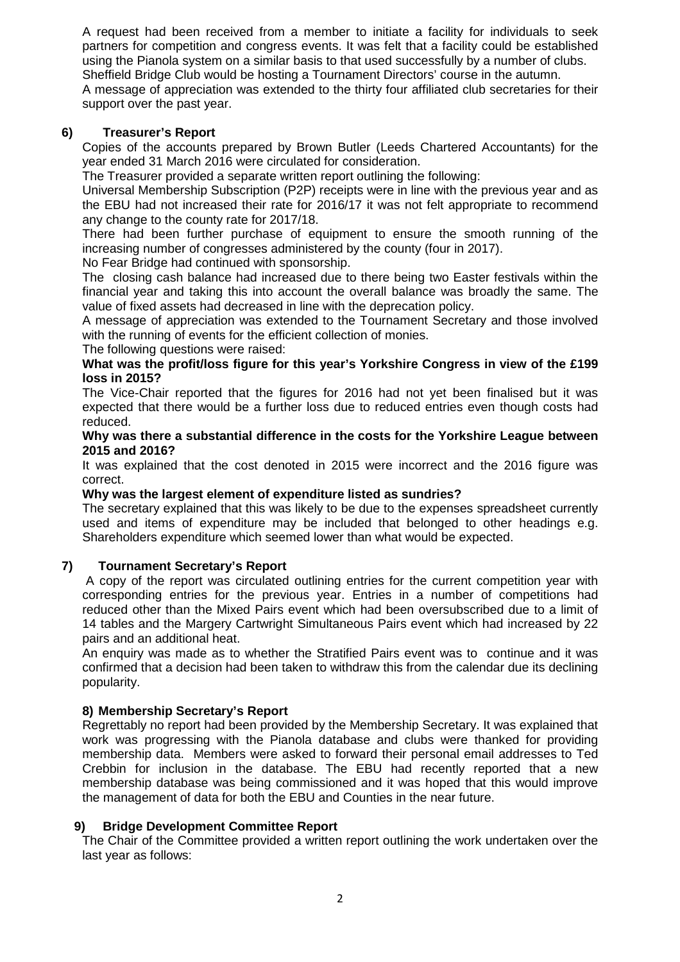A request had been received from a member to initiate a facility for individuals to seek partners for competition and congress events. It was felt that a facility could be established using the Pianola system on a similar basis to that used successfully by a number of clubs. Sheffield Bridge Club would be hosting a Tournament Directors' course in the autumn. A message of appreciation was extended to the thirty four affiliated club secretaries for their support over the past year.

#### **6) Treasurer's Report**

Copies of the accounts prepared by Brown Butler (Leeds Chartered Accountants) for the year ended 31 March 2016 were circulated for consideration.

The Treasurer provided a separate written report outlining the following:

Universal Membership Subscription (P2P) receipts were in line with the previous year and as the EBU had not increased their rate for 2016/17 it was not felt appropriate to recommend any change to the county rate for 2017/18.

There had been further purchase of equipment to ensure the smooth running of the increasing number of congresses administered by the county (four in 2017).

No Fear Bridge had continued with sponsorship.

The closing cash balance had increased due to there being two Easter festivals within the financial year and taking this into account the overall balance was broadly the same. The value of fixed assets had decreased in line with the deprecation policy.

A message of appreciation was extended to the Tournament Secretary and those involved with the running of events for the efficient collection of monies.

The following questions were raised:

#### **What was the profit/loss figure for this year's Yorkshire Congress in view of the £199 loss in 2015?**

The Vice-Chair reported that the figures for 2016 had not yet been finalised but it was expected that there would be a further loss due to reduced entries even though costs had reduced.

#### **Why was there a substantial difference in the costs for the Yorkshire League between 2015 and 2016?**

It was explained that the cost denoted in 2015 were incorrect and the 2016 figure was correct.

#### **Why was the largest element of expenditure listed as sundries?**

The secretary explained that this was likely to be due to the expenses spreadsheet currently used and items of expenditure may be included that belonged to other headings e.g. Shareholders expenditure which seemed lower than what would be expected.

#### **7) Tournament Secretary's Report**

A copy of the report was circulated outlining entries for the current competition year with corresponding entries for the previous year. Entries in a number of competitions had reduced other than the Mixed Pairs event which had been oversubscribed due to a limit of 14 tables and the Margery Cartwright Simultaneous Pairs event which had increased by 22 pairs and an additional heat.

An enquiry was made as to whether the Stratified Pairs event was to continue and it was confirmed that a decision had been taken to withdraw this from the calendar due its declining popularity.

#### **8) Membership Secretary's Report**

Regrettably no report had been provided by the Membership Secretary. It was explained that work was progressing with the Pianola database and clubs were thanked for providing membership data. Members were asked to forward their personal email addresses to Ted Crebbin for inclusion in the database. The EBU had recently reported that a new membership database was being commissioned and it was hoped that this would improve the management of data for both the EBU and Counties in the near future.

#### **9) Bridge Development Committee Report**

The Chair of the Committee provided a written report outlining the work undertaken over the last year as follows: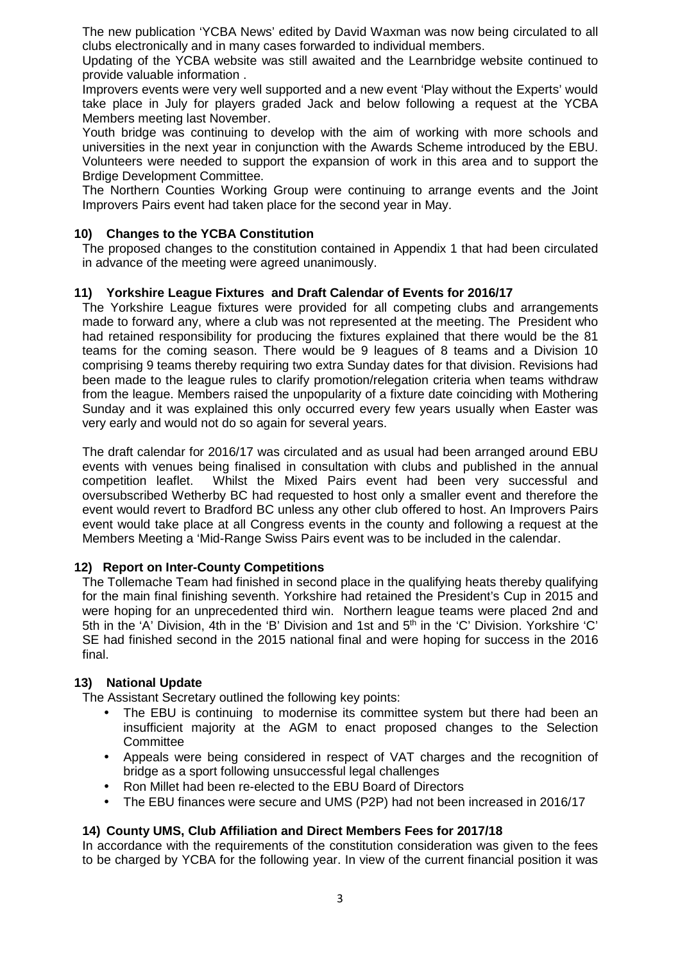The new publication 'YCBA News' edited by David Waxman was now being circulated to all clubs electronically and in many cases forwarded to individual members.

Updating of the YCBA website was still awaited and the Learnbridge website continued to provide valuable information .

Improvers events were very well supported and a new event 'Play without the Experts' would take place in July for players graded Jack and below following a request at the YCBA Members meeting last November.

Youth bridge was continuing to develop with the aim of working with more schools and universities in the next year in conjunction with the Awards Scheme introduced by the EBU. Volunteers were needed to support the expansion of work in this area and to support the Brdige Development Committee.

The Northern Counties Working Group were continuing to arrange events and the Joint Improvers Pairs event had taken place for the second year in May.

#### **10) Changes to the YCBA Constitution**

The proposed changes to the constitution contained in Appendix 1 that had been circulated in advance of the meeting were agreed unanimously.

## **11) Yorkshire League Fixtures and Draft Calendar of Events for 2016/17**

The Yorkshire League fixtures were provided for all competing clubs and arrangements made to forward any, where a club was not represented at the meeting. The President who had retained responsibility for producing the fixtures explained that there would be the 81 teams for the coming season. There would be 9 leagues of 8 teams and a Division 10 comprising 9 teams thereby requiring two extra Sunday dates for that division. Revisions had been made to the league rules to clarify promotion/relegation criteria when teams withdraw from the league. Members raised the unpopularity of a fixture date coinciding with Mothering Sunday and it was explained this only occurred every few years usually when Easter was very early and would not do so again for several years.

The draft calendar for 2016/17 was circulated and as usual had been arranged around EBU events with venues being finalised in consultation with clubs and published in the annual competition leaflet. Whilst the Mixed Pairs event had been very successful and oversubscribed Wetherby BC had requested to host only a smaller event and therefore the event would revert to Bradford BC unless any other club offered to host. An Improvers Pairs event would take place at all Congress events in the county and following a request at the Members Meeting a 'Mid-Range Swiss Pairs event was to be included in the calendar.

#### **12) Report on Inter-County Competitions**

The Tollemache Team had finished in second place in the qualifying heats thereby qualifying for the main final finishing seventh. Yorkshire had retained the President's Cup in 2015 and were hoping for an unprecedented third win. Northern league teams were placed 2nd and 5th in the 'A' Division, 4th in the 'B' Division and 1st and 5th in the 'C' Division. Yorkshire 'C' SE had finished second in the 2015 national final and were hoping for success in the 2016 final.

## **13) National Update**

The Assistant Secretary outlined the following key points:

- The EBU is continuing to modernise its committee system but there had been an insufficient majority at the AGM to enact proposed changes to the Selection **Committee**
- Appeals were being considered in respect of VAT charges and the recognition of bridge as a sport following unsuccessful legal challenges
- Ron Millet had been re-elected to the EBU Board of Directors
- The EBU finances were secure and UMS (P2P) had not been increased in 2016/17

## **14) County UMS, Club Affiliation and Direct Members Fees for 2017/18**

In accordance with the requirements of the constitution consideration was given to the fees to be charged by YCBA for the following year. In view of the current financial position it was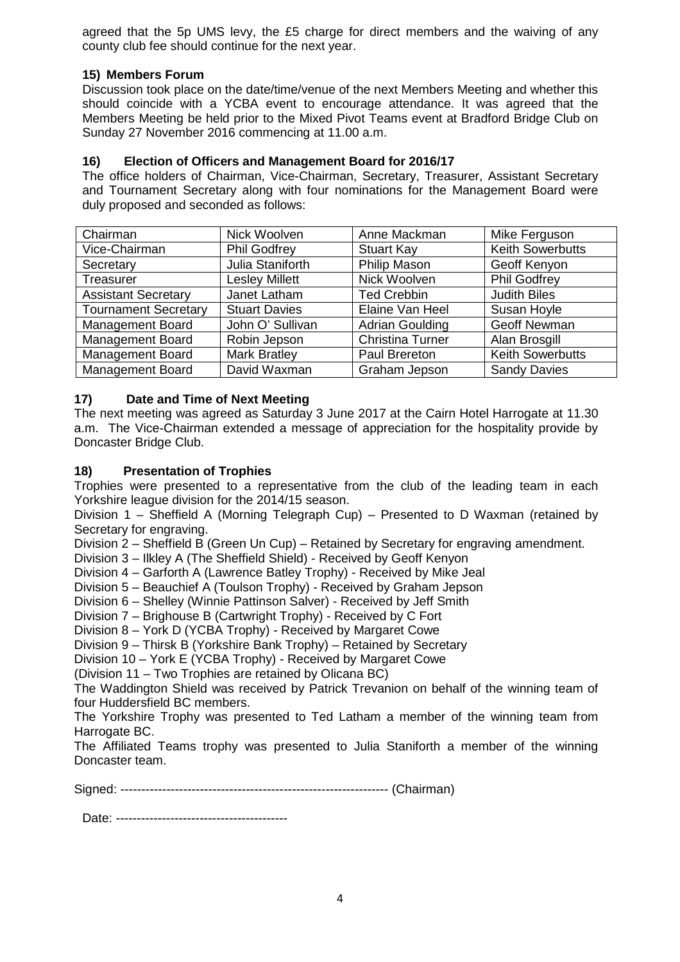agreed that the 5p UMS levy, the £5 charge for direct members and the waiving of any county club fee should continue for the next year.

## **15) Members Forum**

Discussion took place on the date/time/venue of the next Members Meeting and whether this should coincide with a YCBA event to encourage attendance. It was agreed that the Members Meeting be held prior to the Mixed Pivot Teams event at Bradford Bridge Club on Sunday 27 November 2016 commencing at 11.00 a.m.

## **16) Election of Officers and Management Board for 2016/17**

The office holders of Chairman, Vice-Chairman, Secretary, Treasurer, Assistant Secretary and Tournament Secretary along with four nominations for the Management Board were duly proposed and seconded as follows:

| Chairman                    | Nick Woolven          | Anne Mackman            | Mike Ferguson           |
|-----------------------------|-----------------------|-------------------------|-------------------------|
| Vice-Chairman               | <b>Phil Godfrey</b>   | <b>Stuart Kay</b>       | <b>Keith Sowerbutts</b> |
| Secretary                   | Julia Staniforth      | <b>Philip Mason</b>     | Geoff Kenyon            |
| Treasurer                   | <b>Lesley Millett</b> | Nick Woolven            | <b>Phil Godfrey</b>     |
| <b>Assistant Secretary</b>  | Janet Latham          | <b>Ted Crebbin</b>      | <b>Judith Biles</b>     |
| <b>Tournament Secretary</b> | <b>Stuart Davies</b>  | Elaine Van Heel         | Susan Hoyle             |
| <b>Management Board</b>     | John O' Sullivan      | <b>Adrian Goulding</b>  | <b>Geoff Newman</b>     |
| <b>Management Board</b>     | Robin Jepson          | <b>Christina Turner</b> | Alan Brosgill           |
| <b>Management Board</b>     | <b>Mark Bratley</b>   | Paul Brereton           | <b>Keith Sowerbutts</b> |
| <b>Management Board</b>     | David Waxman          | Graham Jepson           | <b>Sandy Davies</b>     |

## **17) Date and Time of Next Meeting**

The next meeting was agreed as Saturday 3 June 2017 at the Cairn Hotel Harrogate at 11.30 a.m. The Vice-Chairman extended a message of appreciation for the hospitality provide by Doncaster Bridge Club.

## **18) Presentation of Trophies**

Trophies were presented to a representative from the club of the leading team in each Yorkshire league division for the 2014/15 season.

Division 1 – Sheffield A (Morning Telegraph Cup) – Presented to D Waxman (retained by Secretary for engraving.

Division 2 – Sheffield B (Green Un Cup) – Retained by Secretary for engraving amendment.

Division 3 – Ilkley A (The Sheffield Shield) - Received by Geoff Kenyon

Division 4 – Garforth A (Lawrence Batley Trophy) - Received by Mike Jeal

Division 5 – Beauchief A (Toulson Trophy) - Received by Graham Jepson

Division 6 – Shelley (Winnie Pattinson Salver) - Received by Jeff Smith

Division 7 – Brighouse B (Cartwright Trophy) - Received by C Fort

Division 8 – York D (YCBA Trophy) - Received by Margaret Cowe

Division 9 – Thirsk B (Yorkshire Bank Trophy) – Retained by Secretary

Division 10 – York E (YCBA Trophy) - Received by Margaret Cowe

(Division 11 – Two Trophies are retained by Olicana BC)

The Waddington Shield was received by Patrick Trevanion on behalf of the winning team of four Huddersfield BC members.

The Yorkshire Trophy was presented to Ted Latham a member of the winning team from Harrogate BC.

The Affiliated Teams trophy was presented to Julia Staniforth a member of the winning Doncaster team.

Signed: ---------------------------------------------------------------- (Chairman)

Date: -----------------------------------------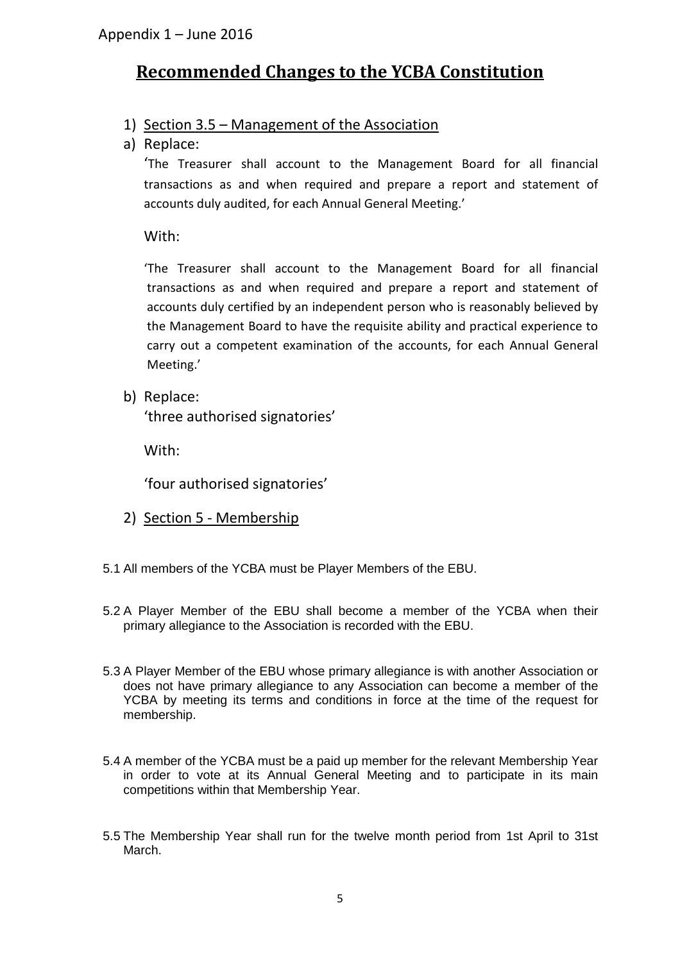# **Recommended Changes to the YCBA Constitution**

# 1) Section 3.5 – Management of the Association

a) Replace:

'The Treasurer shall account to the Management Board for all financial transactions as and when required and prepare a report and statement of accounts duly audited, for each Annual General Meeting.'

With:

'The Treasurer shall account to the Management Board for all financial transactions as and when required and prepare a report and statement of accounts duly certified by an independent person who is reasonably believed by the Management Board to have the requisite ability and practical experience to carry out a competent examination of the accounts, for each Annual General Meeting.'

b) Replace:

'three authorised signatories'

With:

'four authorised signatories'

- 2) Section 5 Membership
- 5.1 All members of the YCBA must be Player Members of the EBU.
- 5.2 A Player Member of the EBU shall become a member of the YCBA when their primary allegiance to the Association is recorded with the EBU.
- 5.3 A Player Member of the EBU whose primary allegiance is with another Association or does not have primary allegiance to any Association can become a member of the YCBA by meeting its terms and conditions in force at the time of the request for membership.
- 5.4 A member of the YCBA must be a paid up member for the relevant Membership Year in order to vote at its Annual General Meeting and to participate in its main competitions within that Membership Year.
- 5.5 The Membership Year shall run for the twelve month period from 1st April to 31st March.